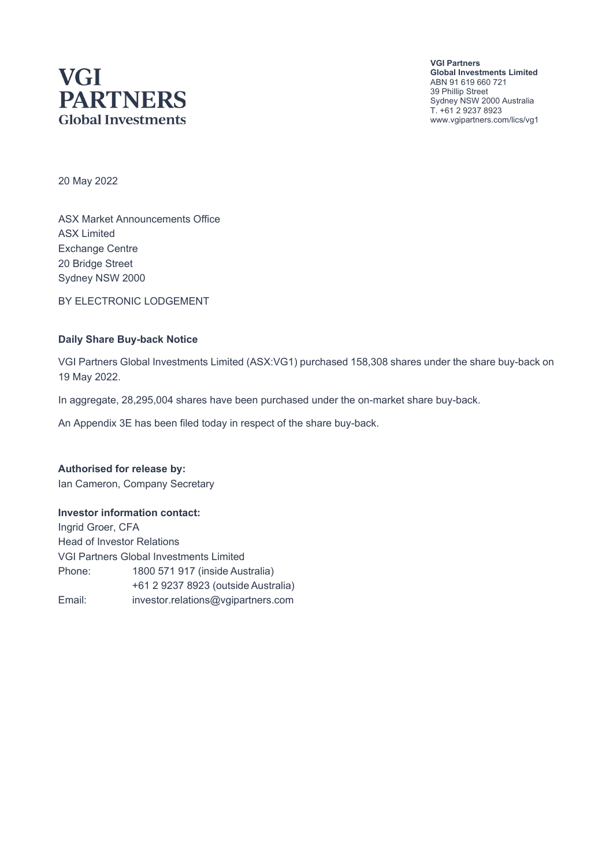# **VGI PARTNERS Global Investments**

**VGI Partners Global Investments Limited** ABN 91 619 660 721 39 Phillip Street Sydney NSW 2000 Australia T. +61 2 9237 8923 www.vgipartners.com/lics/vg1

20 May 2022

ASX Market Announcements Office ASX Limited Exchange Centre 20 Bridge Street Sydney NSW 2000

BY ELECTRONIC LODGEMENT

#### **Daily Share Buy-back Notice**

VGI Partners Global Investments Limited (ASX:VG1) purchased 158,308 shares under the share buy-back on 19 May 2022.

In aggregate, 28,295,004 shares have been purchased under the on-market share buy-back.

An Appendix 3E has been filed today in respect of the share buy-back.

**Authorised for release by:** Ian Cameron, Company Secretary

#### **Investor information contact:**

Ingrid Groer, CFA Head of Investor Relations VGI Partners Global Investments Limited Phone: 1800 571 917 (inside Australia) +61 2 9237 8923 (outside Australia) Email: investor.relations@vgipartners.com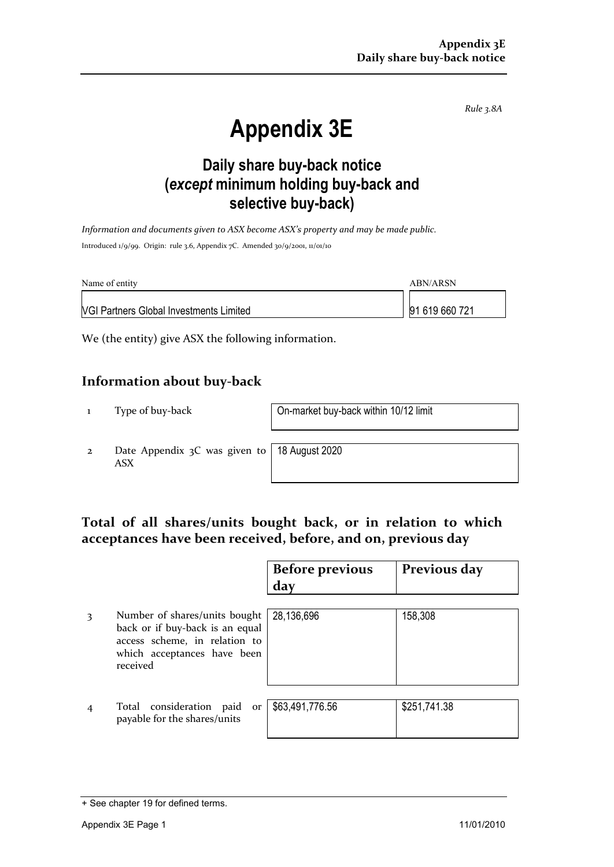*Rule 3.8A*

# **Appendix 3E**

## **Daily share buy-back notice (***except* **minimum holding buy-back and selective buy-back)**

*Information and documents given to ASX become ASX's property and may be made public.* Introduced 1/9/99. Origin: rule 3.6, Appendix 7C. Amended 30/9/2001, 11/01/10

| Name of entity                                 | ABN/ARSN       |  |
|------------------------------------------------|----------------|--|
| <b>NGI Partners Global Investments Limited</b> | 91 619 660 721 |  |

We (the entity) give ASX the following information.

#### **Information about buy-back**

1 Type of buy-back On-market buy-back within 10/12 limit

2 Date Appendix 3C was given to ASX

18 August 2020

### **Total of all shares/units bought back, or in relation to which acceptances have been received, before, and on, previous day**

|   |                                                                                                                                              | <b>Before previous</b><br>day | Previous day |
|---|----------------------------------------------------------------------------------------------------------------------------------------------|-------------------------------|--------------|
| 3 | Number of shares/units bought<br>back or if buy-back is an equal<br>access scheme, in relation to<br>which acceptances have been<br>received | 28,136,696                    | 158,308      |
|   | Total consideration paid<br>or<br>payable for the shares/units                                                                               | \$63,491,776.56               | \$251,741.38 |

<sup>+</sup> See chapter 19 for defined terms.